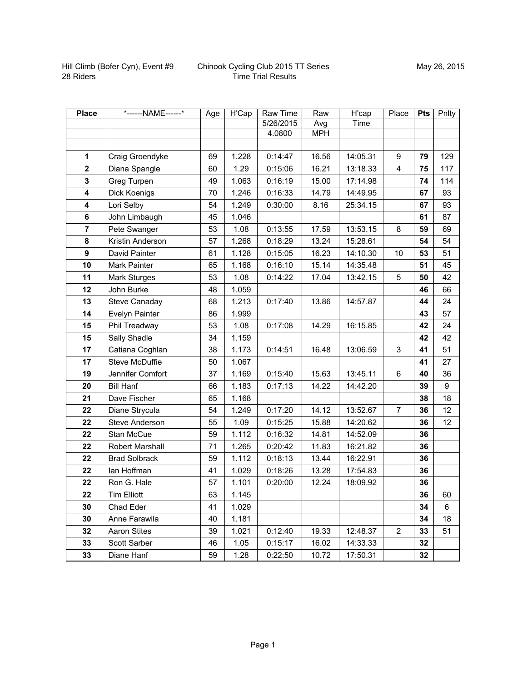| <b>Place</b>   | *------NAME------*    | Age | H'Cap | <b>Raw Time</b> | Raw        | H'cap    | Place                   | <b>Pts</b> | Pnlty |
|----------------|-----------------------|-----|-------|-----------------|------------|----------|-------------------------|------------|-------|
|                |                       |     |       | 5/26/2015       | Avg        | Time     |                         |            |       |
|                |                       |     |       | 4.0800          | <b>MPH</b> |          |                         |            |       |
|                |                       |     |       |                 |            |          |                         |            |       |
| 1              | Craig Groendyke       | 69  | 1.228 | 0:14:47         | 16.56      | 14:05.31 | 9                       | 79         | 129   |
| $\mathbf{2}$   | Diana Spangle         | 60  | 1.29  | 0:15:06         | 16.21      | 13:18.33 | $\overline{\mathbf{4}}$ | 75         | 117   |
| 3              | Greg Turpen           | 49  | 1.063 | 0:16:19         | 15.00      | 17:14.98 |                         | 74         | 114   |
| 4              | Dick Koenigs          | 70  | 1.246 | 0:16:33         | 14.79      | 14:49.95 |                         | 67         | 93    |
| 4              | Lori Selby            | 54  | 1.249 | 0:30:00         | 8.16       | 25:34.15 |                         | 67         | 93    |
| 6              | John Limbaugh         | 45  | 1.046 |                 |            |          |                         | 61         | 87    |
| $\overline{7}$ | Pete Swanger          | 53  | 1.08  | 0:13:55         | 17.59      | 13:53.15 | 8                       | 59         | 69    |
| 8              | Kristin Anderson      | 57  | 1.268 | 0:18:29         | 13.24      | 15:28.61 |                         | 54         | 54    |
| 9              | David Painter         | 61  | 1.128 | 0:15:05         | 16.23      | 14:10.30 | 10                      | 53         | 51    |
| 10             | Mark Painter          | 65  | 1.168 | 0:16:10         | 15.14      | 14:35.48 |                         | 51         | 45    |
| 11             | <b>Mark Sturges</b>   | 53  | 1.08  | 0:14:22         | 17.04      | 13:42.15 | 5                       | 50         | 42    |
| 12             | John Burke            | 48  | 1.059 |                 |            |          |                         | 46         | 66    |
| 13             | Steve Canaday         | 68  | 1.213 | 0:17:40         | 13.86      | 14:57.87 |                         | 44         | 24    |
| 14             | Evelyn Painter        | 86  | 1.999 |                 |            |          |                         | 43         | 57    |
| 15             | Phil Treadway         | 53  | 1.08  | 0:17:08         | 14.29      | 16:15.85 |                         | 42         | 24    |
| 15             | Sally Shadle          | 34  | 1.159 |                 |            |          |                         | 42         | 42    |
| 17             | Catiana Coghlan       | 38  | 1.173 | 0:14:51         | 16.48      | 13:06.59 | 3                       | 41         | 51    |
| 17             | <b>Steve McDuffie</b> | 50  | 1.067 |                 |            |          |                         | 41         | 27    |
| 19             | Jennifer Comfort      | 37  | 1.169 | 0:15:40         | 15.63      | 13:45.11 | 6                       | 40         | 36    |
| 20             | <b>Bill Hanf</b>      | 66  | 1.183 | 0:17:13         | 14.22      | 14:42.20 |                         | 39         | 9     |
| 21             | Dave Fischer          | 65  | 1.168 |                 |            |          |                         | 38         | 18    |
| 22             | Diane Strycula        | 54  | 1.249 | 0:17:20         | 14.12      | 13:52.67 | $\overline{7}$          | 36         | 12    |
| 22             | <b>Steve Anderson</b> | 55  | 1.09  | 0:15:25         | 15.88      | 14:20.62 |                         | 36         | 12    |
| 22             | Stan McCue            | 59  | 1.112 | 0:16:32         | 14.81      | 14:52.09 |                         | 36         |       |
| 22             | Robert Marshall       | 71  | 1.265 | 0:20:42         | 11.83      | 16:21.82 |                         | 36         |       |
| 22             | <b>Brad Solbrack</b>  | 59  | 1.112 | 0:18:13         | 13.44      | 16:22.91 |                         | 36         |       |
| 22             | lan Hoffman           | 41  | 1.029 | 0:18:26         | 13.28      | 17:54.83 |                         | 36         |       |
| 22             | Ron G. Hale           | 57  | 1.101 | 0:20:00         | 12.24      | 18:09.92 |                         | 36         |       |
| 22             | Tim Elliott           | 63  | 1.145 |                 |            |          |                         | 36         | 60    |
| 30             | Chad Eder             | 41  | 1.029 |                 |            |          |                         | 34         | 6     |
| 30             | Anne Farawila         | 40  | 1.181 |                 |            |          |                         | 34         | 18    |
| 32             | <b>Aaron Stites</b>   | 39  | 1.021 | 0:12:40         | 19.33      | 12:48.37 | $\overline{2}$          | 33         | 51    |
| 33             | Scott Sarber          | 46  | 1.05  | 0:15:17         | 16.02      | 14:33.33 |                         | 32         |       |
| 33             | Diane Hanf            | 59  | 1.28  | 0:22:50         | 10.72      | 17:50.31 |                         | 32         |       |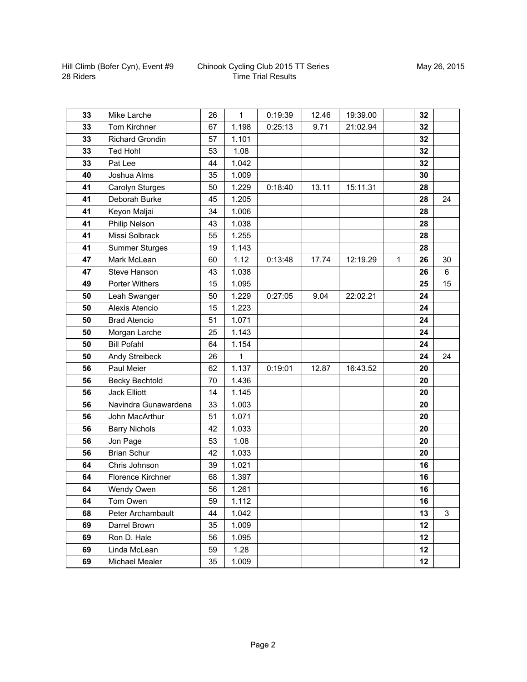| 33 | Mike Larche            | 26 | $\mathbf{1}$ | 0:19:39 | 12.46 | 19:39.00 |              | 32 |    |
|----|------------------------|----|--------------|---------|-------|----------|--------------|----|----|
| 33 | Tom Kirchner           | 67 | 1.198        | 0:25:13 | 9.71  | 21:02.94 |              | 32 |    |
| 33 | <b>Richard Grondin</b> | 57 | 1.101        |         |       |          |              | 32 |    |
| 33 | <b>Ted Hohl</b>        | 53 | 1.08         |         |       |          |              | 32 |    |
| 33 | Pat Lee                | 44 | 1.042        |         |       |          |              | 32 |    |
| 40 | Joshua Alms            | 35 | 1.009        |         |       |          |              | 30 |    |
| 41 | Carolyn Sturges        | 50 | 1.229        | 0:18:40 | 13.11 | 15:11.31 |              | 28 |    |
| 41 | Deborah Burke          | 45 | 1.205        |         |       |          |              | 28 | 24 |
| 41 | Keyon Maljai           | 34 | 1.006        |         |       |          |              | 28 |    |
| 41 | Philip Nelson          | 43 | 1.038        |         |       |          |              | 28 |    |
| 41 | Missi Solbrack         | 55 | 1.255        |         |       |          |              | 28 |    |
| 41 | <b>Summer Sturges</b>  | 19 | 1.143        |         |       |          |              | 28 |    |
| 47 | Mark McLean            | 60 | 1.12         | 0:13:48 | 17.74 | 12:19.29 | $\mathbf{1}$ | 26 | 30 |
| 47 | Steve Hanson           | 43 | 1.038        |         |       |          |              | 26 | 6  |
| 49 | <b>Porter Withers</b>  | 15 | 1.095        |         |       |          |              | 25 | 15 |
| 50 | Leah Swanger           | 50 | 1.229        | 0:27:05 | 9.04  | 22:02.21 |              | 24 |    |
| 50 | Alexis Atencio         | 15 | 1.223        |         |       |          |              | 24 |    |
| 50 | <b>Brad Atencio</b>    | 51 | 1.071        |         |       |          |              | 24 |    |
| 50 | Morgan Larche          | 25 | 1.143        |         |       |          |              | 24 |    |
| 50 | <b>Bill Pofahl</b>     | 64 | 1.154        |         |       |          |              | 24 |    |
| 50 | Andy Streibeck         | 26 | $\mathbf{1}$ |         |       |          |              | 24 | 24 |
| 56 | Paul Meier             | 62 | 1.137        | 0:19:01 | 12.87 | 16:43.52 |              | 20 |    |
| 56 | <b>Becky Bechtold</b>  | 70 | 1.436        |         |       |          |              | 20 |    |
| 56 | <b>Jack Elliott</b>    | 14 | 1.145        |         |       |          |              | 20 |    |
| 56 | Navindra Gunawardena   | 33 | 1.003        |         |       |          |              | 20 |    |
| 56 | John MacArthur         | 51 | 1.071        |         |       |          |              | 20 |    |
| 56 | <b>Barry Nichols</b>   | 42 | 1.033        |         |       |          |              | 20 |    |
| 56 | Jon Page               | 53 | 1.08         |         |       |          |              | 20 |    |
| 56 | <b>Brian Schur</b>     | 42 | 1.033        |         |       |          |              | 20 |    |
| 64 | Chris Johnson          | 39 | 1.021        |         |       |          |              | 16 |    |
| 64 | Florence Kirchner      | 68 | 1.397        |         |       |          |              | 16 |    |
| 64 | Wendy Owen             | 56 | 1.261        |         |       |          |              | 16 |    |
| 64 | Tom Owen               | 59 | 1.112        |         |       |          |              | 16 |    |
| 68 | Peter Archambault      | 44 | 1.042        |         |       |          |              | 13 | 3  |
| 69 | Darrel Brown           | 35 | 1.009        |         |       |          |              | 12 |    |
| 69 | Ron D. Hale            | 56 | 1.095        |         |       |          |              | 12 |    |
| 69 | Linda McLean           | 59 | 1.28         |         |       |          |              | 12 |    |
| 69 | Michael Mealer         | 35 | 1.009        |         |       |          |              | 12 |    |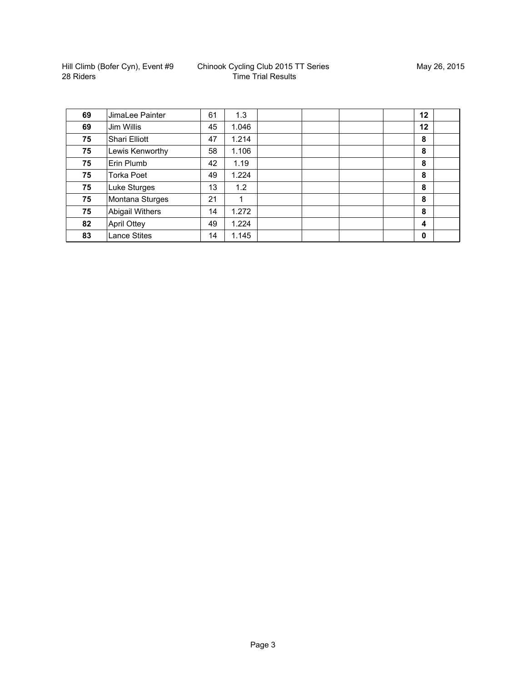| 69 | JimaLee Painter        | 61 | 1.3   | 12          |  |
|----|------------------------|----|-------|-------------|--|
| 69 | Jim Willis             | 45 | 1.046 | 12          |  |
| 75 | Shari Elliott          | 47 | 1.214 | 8           |  |
| 75 | Lewis Kenworthy        | 58 | 1.106 | 8           |  |
| 75 | Erin Plumb             | 42 | 1.19  | 8           |  |
| 75 | Torka Poet             | 49 | 1.224 | 8           |  |
| 75 | Luke Sturges           | 13 | 1.2   | 8           |  |
| 75 | Montana Sturges        | 21 |       | 8           |  |
| 75 | <b>Abigail Withers</b> | 14 | 1.272 | 8           |  |
| 82 | <b>April Ottey</b>     | 49 | 1.224 | 4           |  |
| 83 | <b>Lance Stites</b>    | 14 | 1.145 | $\mathbf 0$ |  |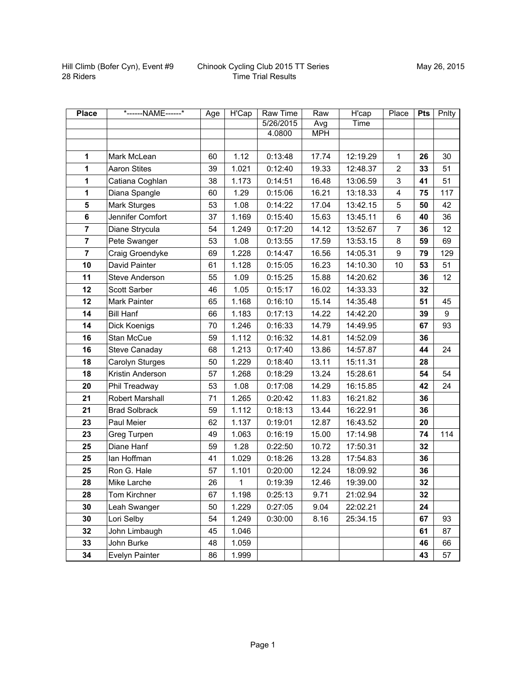| <b>Place</b>            | *------NAME------*   | Age | <b>H'Cap</b> | Raw Time  | Raw        | H'cap    | Place                   | <b>Pts</b> | Pnlty |
|-------------------------|----------------------|-----|--------------|-----------|------------|----------|-------------------------|------------|-------|
|                         |                      |     |              | 5/26/2015 | Avg        | Time     |                         |            |       |
|                         |                      |     |              | 4.0800    | <b>MPH</b> |          |                         |            |       |
|                         |                      |     |              |           |            |          |                         |            |       |
| 1                       | Mark McLean          | 60  | 1.12         | 0:13:48   | 17.74      | 12:19.29 | $\mathbf{1}$            | 26         | 30    |
| 1                       | <b>Aaron Stites</b>  | 39  | 1.021        | 0:12:40   | 19.33      | 12:48.37 | $\overline{2}$          | 33         | 51    |
| 1                       | Catiana Coghlan      | 38  | 1.173        | 0:14:51   | 16.48      | 13:06.59 | 3                       | 41         | 51    |
| 1                       | Diana Spangle        | 60  | 1.29         | 0:15:06   | 16.21      | 13:18.33 | $\overline{\mathbf{4}}$ | 75         | 117   |
| $\overline{\mathbf{5}}$ | <b>Mark Sturges</b>  | 53  | 1.08         | 0:14:22   | 17.04      | 13:42.15 | 5                       | 50         | 42    |
| 6                       | Jennifer Comfort     | 37  | 1.169        | 0:15:40   | 15.63      | 13:45.11 | 6                       | 40         | 36    |
| $\overline{7}$          | Diane Strycula       | 54  | 1.249        | 0:17:20   | 14.12      | 13:52.67 | $\overline{7}$          | 36         | 12    |
| $\overline{7}$          | Pete Swanger         | 53  | 1.08         | 0:13:55   | 17.59      | 13:53.15 | 8                       | 59         | 69    |
| $\overline{7}$          | Craig Groendyke      | 69  | 1.228        | 0:14:47   | 16.56      | 14:05.31 | 9                       | 79         | 129   |
| 10                      | David Painter        | 61  | 1.128        | 0:15:05   | 16.23      | 14:10.30 | 10                      | 53         | 51    |
| 11                      | Steve Anderson       | 55  | 1.09         | 0:15:25   | 15.88      | 14:20.62 |                         | 36         | 12    |
| 12                      | Scott Sarber         | 46  | 1.05         | 0:15:17   | 16.02      | 14:33.33 |                         | 32         |       |
| 12                      | <b>Mark Painter</b>  | 65  | 1.168        | 0:16:10   | 15.14      | 14:35.48 |                         | 51         | 45    |
| 14                      | <b>Bill Hanf</b>     | 66  | 1.183        | 0:17:13   | 14.22      | 14:42.20 |                         | 39         | 9     |
| 14                      | Dick Koenigs         | 70  | 1.246        | 0:16:33   | 14.79      | 14:49.95 |                         | 67         | 93    |
| 16                      | Stan McCue           | 59  | 1.112        | 0:16:32   | 14.81      | 14:52.09 |                         | 36         |       |
| 16                      | Steve Canaday        | 68  | 1.213        | 0:17:40   | 13.86      | 14:57.87 |                         | 44         | 24    |
| 18                      | Carolyn Sturges      | 50  | 1.229        | 0:18:40   | 13.11      | 15:11.31 |                         | 28         |       |
| 18                      | Kristin Anderson     | 57  | 1.268        | 0:18:29   | 13.24      | 15:28.61 |                         | 54         | 54    |
| 20                      | Phil Treadway        | 53  | 1.08         | 0:17:08   | 14.29      | 16:15.85 |                         | 42         | 24    |
| 21                      | Robert Marshall      | 71  | 1.265        | 0:20:42   | 11.83      | 16:21.82 |                         | 36         |       |
| 21                      | <b>Brad Solbrack</b> | 59  | 1.112        | 0:18:13   | 13.44      | 16:22.91 |                         | 36         |       |
| 23                      | Paul Meier           | 62  | 1.137        | 0:19:01   | 12.87      | 16:43.52 |                         | 20         |       |
| 23                      | Greg Turpen          | 49  | 1.063        | 0:16:19   | 15.00      | 17:14.98 |                         | 74         | 114   |
| 25                      | Diane Hanf           | 59  | 1.28         | 0:22:50   | 10.72      | 17:50.31 |                         | 32         |       |
| 25                      | lan Hoffman          | 41  | 1.029        | 0:18:26   | 13.28      | 17:54.83 |                         | 36         |       |
| 25                      | Ron G. Hale          | 57  | 1.101        | 0:20:00   | 12.24      | 18:09.92 |                         | 36         |       |
| 28                      | Mike Larche          | 26  | $\mathbf{1}$ | 0:19:39   | 12.46      | 19:39.00 |                         | 32         |       |
| 28                      | Tom Kirchner         | 67  | 1.198        | 0:25:13   | 9.71       | 21:02.94 |                         | 32         |       |
| 30                      | Leah Swanger         | 50  | 1.229        | 0:27:05   | 9.04       | 22:02.21 |                         | 24         |       |
| 30                      | Lori Selby           | 54  | 1.249        | 0:30:00   | 8.16       | 25:34.15 |                         | 67         | 93    |
| 32                      | John Limbaugh        | 45  | 1.046        |           |            |          |                         | 61         | 87    |
| 33                      | John Burke           | 48  | 1.059        |           |            |          |                         | 46         | 66    |
| 34                      | Evelyn Painter       | 86  | 1.999        |           |            |          |                         | 43         | 57    |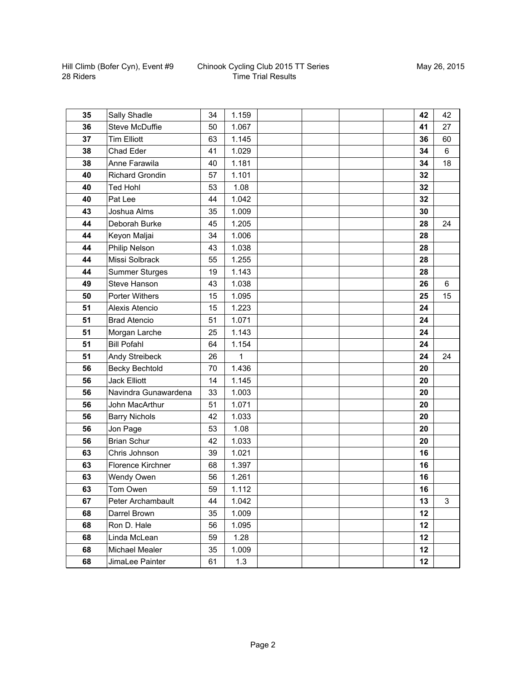| 35 | Sally Shadle           | 34 | 1.159 |  |  | 42 | 42 |
|----|------------------------|----|-------|--|--|----|----|
| 36 | <b>Steve McDuffie</b>  | 50 | 1.067 |  |  | 41 | 27 |
| 37 | <b>Tim Elliott</b>     | 63 | 1.145 |  |  | 36 | 60 |
| 38 | Chad Eder              | 41 | 1.029 |  |  | 34 | 6  |
| 38 | Anne Farawila          | 40 | 1.181 |  |  | 34 | 18 |
| 40 | <b>Richard Grondin</b> | 57 | 1.101 |  |  | 32 |    |
| 40 | <b>Ted Hohl</b>        | 53 | 1.08  |  |  | 32 |    |
| 40 | Pat Lee                | 44 | 1.042 |  |  | 32 |    |
| 43 | Joshua Alms            | 35 | 1.009 |  |  | 30 |    |
| 44 | Deborah Burke          | 45 | 1.205 |  |  | 28 | 24 |
| 44 | Keyon Maljai           | 34 | 1.006 |  |  | 28 |    |
| 44 | Philip Nelson          | 43 | 1.038 |  |  | 28 |    |
| 44 | Missi Solbrack         | 55 | 1.255 |  |  | 28 |    |
| 44 | <b>Summer Sturges</b>  | 19 | 1.143 |  |  | 28 |    |
| 49 | Steve Hanson           | 43 | 1.038 |  |  | 26 | 6  |
| 50 | <b>Porter Withers</b>  | 15 | 1.095 |  |  | 25 | 15 |
| 51 | Alexis Atencio         | 15 | 1.223 |  |  | 24 |    |
| 51 | <b>Brad Atencio</b>    | 51 | 1.071 |  |  | 24 |    |
| 51 | Morgan Larche          | 25 | 1.143 |  |  | 24 |    |
| 51 | <b>Bill Pofahl</b>     | 64 | 1.154 |  |  | 24 |    |
| 51 | Andy Streibeck         | 26 | 1     |  |  | 24 | 24 |
| 56 | <b>Becky Bechtold</b>  | 70 | 1.436 |  |  | 20 |    |
| 56 | <b>Jack Elliott</b>    | 14 | 1.145 |  |  | 20 |    |
| 56 | Navindra Gunawardena   | 33 | 1.003 |  |  | 20 |    |
| 56 | John MacArthur         | 51 | 1.071 |  |  | 20 |    |
| 56 | <b>Barry Nichols</b>   | 42 | 1.033 |  |  | 20 |    |
| 56 | Jon Page               | 53 | 1.08  |  |  | 20 |    |
| 56 | <b>Brian Schur</b>     | 42 | 1.033 |  |  | 20 |    |
| 63 | Chris Johnson          | 39 | 1.021 |  |  | 16 |    |
| 63 | Florence Kirchner      | 68 | 1.397 |  |  | 16 |    |
| 63 | Wendy Owen             | 56 | 1.261 |  |  | 16 |    |
| 63 | Tom Owen               | 59 | 1.112 |  |  | 16 |    |
| 67 | Peter Archambault      | 44 | 1.042 |  |  | 13 | 3  |
| 68 | Darrel Brown           | 35 | 1.009 |  |  | 12 |    |
| 68 | Ron D. Hale            | 56 | 1.095 |  |  | 12 |    |
| 68 | Linda McLean           | 59 | 1.28  |  |  | 12 |    |
| 68 | Michael Mealer         | 35 | 1.009 |  |  | 12 |    |
| 68 | JimaLee Painter        | 61 | 1.3   |  |  | 12 |    |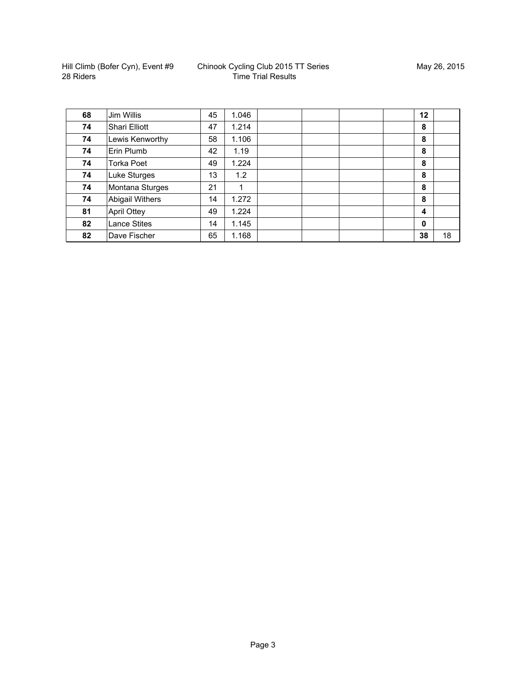| 68 | Jim Willis             | 45 | 1.046 |  | 12                      |    |
|----|------------------------|----|-------|--|-------------------------|----|
| 74 | Shari Elliott          | 47 | 1.214 |  | 8                       |    |
| 74 | Lewis Kenworthy        | 58 | 1.106 |  | 8                       |    |
| 74 | Erin Plumb             | 42 | 1.19  |  | 8                       |    |
| 74 | Torka Poet             | 49 | 1.224 |  | 8                       |    |
| 74 | Luke Sturges           | 13 | 1.2   |  | 8                       |    |
| 74 | Montana Sturges        | 21 | 1     |  | 8                       |    |
| 74 | <b>Abigail Withers</b> | 14 | 1.272 |  | 8                       |    |
| 81 | <b>April Ottey</b>     | 49 | 1.224 |  | $\overline{\mathbf{4}}$ |    |
| 82 | <b>Lance Stites</b>    | 14 | 1.145 |  | $\mathbf 0$             |    |
| 82 | Dave Fischer           | 65 | 1.168 |  | 38                      | 18 |